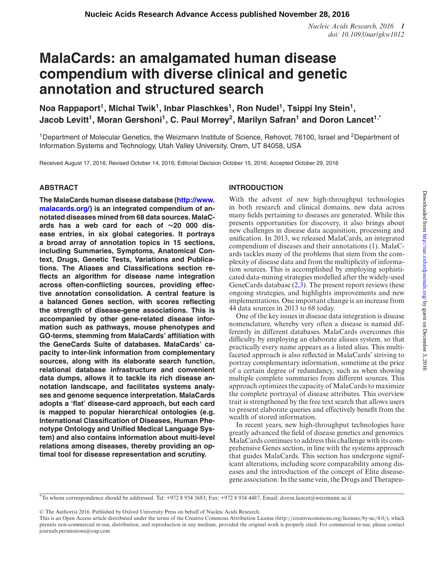*Nucleic Acids Research, 2016 1 doi: 10.1093/nar/gkw1012*

# **MalaCards: an amalgamated human disease compendium with diverse clinical and genetic annotation and structured search**

Noa Rappaport<sup>1</sup>, Michal Twik<sup>1</sup>, Inbar Plaschkes<sup>1</sup>, Ron Nudel<sup>1</sup>, Tsippi Iny Stein<sup>1</sup>, Jacob Levitt<sup>1</sup>, Moran Gershoni<sup>1</sup>, C. Paul Morrey<sup>2</sup>, Marilyn Safran<sup>1</sup> and Doron Lancet<sup>1,\*</sup>

<sup>1</sup>Department of Molecular Genetics, the Weizmann Institute of Science, Rehovot, 76100, Israel and <sup>2</sup>Department of Information Systems and Technology, Utah Valley University, Orem, UT 84058, USA

Received August 17, 2016; Revised October 14, 2016; Editorial Decision October 15, 2016; Accepted October 29, 2016

# **ABSTRACT**

**[The MalaCards human disease database \(http://www.](http://www.malacards.org/) malacards.org/) is an integrated compendium of annotated diseases mined from 68 data sources. MalaCards has a web card for each of ∼20 000 disease entries, in six global categories. It portrays a broad array of annotation topics in 15 sections, including Summaries, Symptoms, Anatomical Context, Drugs, Genetic Tests, Variations and Publications. The Aliases and Classifications section reflects an algorithm for disease name integration across often-conflicting sources, providing effective annotation consolidation. A central feature is a balanced Genes section, with scores reflecting the strength of disease-gene associations. This is accompanied by other gene-related disease information such as pathways, mouse phenotypes and GO-terms, stemming from MalaCards' affiliation with the GeneCards Suite of databases. MalaCards' capacity to inter-link information from complementary sources, along with its elaborate search function, relational database infrastructure and convenient data dumps, allows it to tackle its rich disease annotation landscape, and facilitates systems analyses and genome sequence interpretation. MalaCards adopts a 'flat' disease-card approach, but each card is mapped to popular hierarchical ontologies (e.g. International Classification of Diseases, Human Phenotype Ontology and Unified Medical Language System) and also contains information about multi-level relations among diseases, thereby providing an optimal tool for disease representation and scrutiny.**

# **INTRODUCTION**

With the advent of new high-throughput technologies in both research and clinical domains, new data across many fields pertaining to diseases are generated. While this presents opportunities for discovery, it also brings about new challenges in disease data acquisition, processing and unification. In 2013, we released MalaCards, an integrated compendium of diseases and their annotations [\(1\)](#page-9-0). MalaCards tackles many of the problems that stem from the complexity of disease data and from the multiplicity of information sources. This is accomplished by employing sophisticated data-mining strategies modelled after the widely-used GeneCards database  $(2,3)$ . The present report reviews these ongoing strategies, and highlights improvements and new implementations. One important change is an increase from 44 data sources in 2013 to 68 today.

One of the key issues in disease data integration is disease nomenclature, whereby very often a disease is named differently in different databases. MalaCards overcomes this difficulty by employing an elaborate aliases system, so that practically every name appears as a listed alias. This multifaceted approach is also reflected in MalaCards' striving to portray complementary information, sometime at the price of a certain degree of redundancy, such as when showing multiple complete summaries from different sources. This approach optimizes the capacity of MalaCards to maximize the complete portrayal of disease attributes. This overview trait is strengthened by the free text search that allows users to present elaborate queries and effectively benefit from the wealth of stored information.

In recent years, new high-throughput technologies have greatly advanced the field of disease genetics and genomics. MalaCards continues to address this challenge with its comprehensive Genes section, in line with the systems approach that guides MalaCards. This section has undergone significant alterations, including score comparability among diseases and the introduction of the concept of Elite diseasegene association. In the same vein, the Drugs and Therapeu-

-<sup>C</sup> The Author(s) 2016. Published by Oxford University Press on behalf of Nucleic Acids Research.

<sup>\*</sup>To whom correspondence should be addressed. Tel: +972 8 934 3683; Fax: +972 8 934 4487; Email: doron.lancet@weizmann.ac.il

This is an Open Access article distributed under the terms of the Creative Commons Attribution License (http://creativecommons.org/licenses/by-nc/4.0/), which permits non-commercial re-use, distribution, and reproduction in any medium, provided the original work is properly cited. For commercial re-use, please contact journals.permissions@oup.com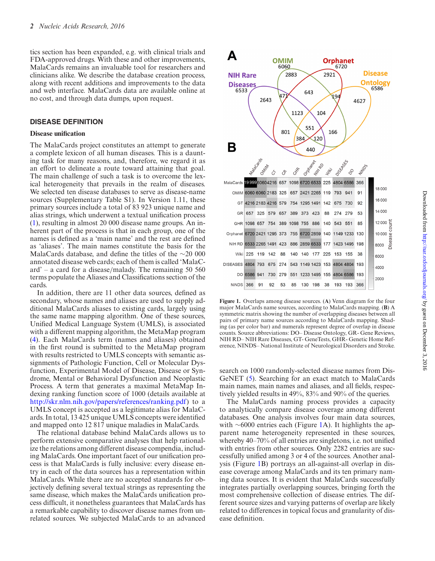tics section has been expanded, e.g. with clinical trials and FDA-approved drugs. With these and other improvements, MalaCards remains an invaluable tool for researchers and clinicians alike. We describe the database creation process, along with recent additions and improvements to the data and web interface. MalaCards data are available online at no cost, and through data dumps, upon request.

## **DISEASE DEFINITION**

#### **Disease unification**

The MalaCards project constitutes an attempt to generate a complete lexicon of all human diseases. This is a daunting task for many reasons, and, therefore, we regard it as an effort to delineate a route toward attaining that goal. The main challenge of such a task is to overcome the lexical heterogeneity that prevails in the realm of diseases. We selected ten disease databases to serve as disease-name sources (Supplementary Table S1). In Version 1.11, these primary sources include a total of 83 923 unique name and alias strings, which underwent a textual unification process [\(1\)](#page-9-0), resulting in almost 20 000 disease name groups. An inherent part of the process is that in each group, one of the names is defined as a 'main name' and the rest are defined as 'aliases'. The main names constitute the basis for the MalaCards database, and define the titles of the ∼20 000 annotated disease web cards; each of them is called 'MalaCard' – a card for a disease/malady. The remaining 50 560 terms populate the Aliases and Classifications section of the cards.

In addition, there are 11 other data sources, defined as secondary, whose names and aliases are used to supply additional MalaCards aliases to existing cards, largely using the same name mapping algorithm. One of these sources, Unified Medical Language System (UMLS), is associated with a different mapping algorithm, the MetaMap program [\(4\)](#page-9-0). Each MalaCards term (names and aliases) obtained in the first round is submitted to the MetaMap program with results restricted to UMLS concepts with semantic assignments of Pathologic Function, Cell or Molecular Dysfunction, Experimental Model of Disease, Disease or Syndrome, Mental or Behavioral Dysfunction and Neoplastic Process. A term that generates a maximal MetaMap Indexing ranking function score of 1000 (details available at [http://skr.nlm.nih.gov/papers/references/ranking.pdf\)](http://skr.nlm.nih.gov/papers/references/ranking.pdf) to a UMLS concept is accepted as a legitimate alias for MalaCards. In total, 13 425 unique UMLS concepts were identified and mapped onto 12 817 unique maladies in MalaCards.

The relational database behind MalaCards allows us to perform extensive comparative analyses that help rationalize the relations among different disease compendia, including MalaCards. One important facet of our unification process is that MalaCards is fully inclusive: every disease entry in each of the data sources has a representation within MalaCards. While there are no accepted standards for objectively defining several textual strings as representing the same disease, which makes the MalaCards unification process difficult, it nonetheless guarantees that MalaCards has a remarkable capability to discover disease names from unrelated sources. We subjected MalaCards to an advanced



**Figure 1.** Overlaps among disease sources. (**A**) Venn diagram for the four major MalaCards name sources, according to MalaCards mapping. (**B**) A symmetric matrix showing the number of overlapping diseases between all pairs of primary name sources according to MalaCards mapping. Shading (as per color bar) and numerals represent degree of overlap in disease counts. Source abbreviations: DO– Disease Ontology, GR- Gene Reviews, NIH RD– NIH Rare Diseases, GT- GeneTests, GHR- Genetic Home Reference, NINDS– National Institute of Neurological Disorders and Stroke.

search on 1000 randomly-selected disease names from Dis-GeNET [\(5\)](#page-9-0). Searching for an exact match to MalaCards main names, main names and aliases, and all fields, respectively yielded results in 49%, 83% and 90% of the queries.

The MalaCards naming process provides a capacity to analytically compare disease coverage among different databases. One analysis involves four main data sources, with ∼6000 entries each (Figure 1A). It highlights the apparent name heterogeneity represented in these sources, whereby 40–70% of all entries are singletons, i.e. not unified with entries from other sources. Only 2282 entries are successfully unified among 3 or 4 of the sources. Another analysis (Figure 1B) portrays an all-against-all overlap in disease coverage among MalaCards and its ten primary naming data sources. It is evident that MalaCards successfully integrates partially overlapping sources, bringing forth the most comprehensive collection of disease entries. The different source sizes and varying patterns of overlap are likely related to differences in topical focus and granularity of disease definition.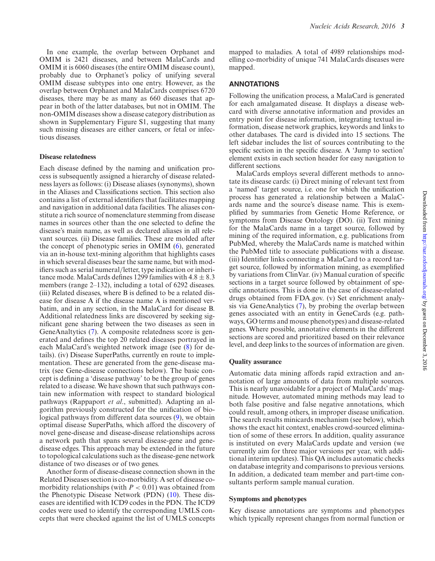In one example, the overlap between Orphanet and OMIM is 2421 diseases, and between MalaCards and OMIM it is 6060 diseases (the entire OMIM disease count), probably due to Orphanet's policy of unifying several OMIM disease subtypes into one entry. However, as the overlap between Orphanet and MalaCards comprises 6720 diseases, there may be as many as 660 diseases that appear in both of the latter databases, but not in OMIM. The non-OMIM diseases show a disease category distribution as shown in Supplementary Figure S1, suggesting that many such missing diseases are either cancers, or fetal or infectious diseases.

#### **Disease relatedness**

Each disease defined by the naming and unification process is subsequently assigned a hierarchy of disease relatedness layers as follows: (i) Disease aliases (synonyms), shown in the Aliases and Classifications section. This section also contains a list of external identifiers that facilitates mapping and navigation in additional data facilities. The aliases constitute a rich source of nomenclature stemming from disease names in sources other than the one selected to define the disease's main name, as well as declared aliases in all relevant sources. (ii) Disease families. These are molded after the concept of phenotypic series in OMIM [\(6\)](#page-9-0), generated via an in-house text-mining algorithm that highlights cases in which several diseases bear the same name, but with modifiers such as serial numeral/letter, type indication or inheritance mode. MalaCards defines 1299 families with  $4.8 \pm 8.3$ members (range 2–132), including a total of 6292 diseases. (iii) Related diseases, where B is defined to be a related disease for disease A if the disease name A is mentioned verbatim, and in any section, in the MalaCard for disease B. Additional relatedness links are discovered by seeking significant gene sharing between the two diseases as seen in GeneAnaltytics [\(7\)](#page-9-0). A composite relatedness score is generated and defines the top 20 related diseases portrayed in each MalaCard's weighted network image (see [\(8\)](#page-9-0) for details). (iv) Disease SuperPaths, currently en route to implementation. These are generated from the gene-disease matrix (see Gene-disease connections below). The basic concept is defining a 'disease pathway' to be the group of genes related to a disease. We have shown that such pathways contain new information with respect to standard biological pathways (Rappaport *et al*., submitted). Adapting an algorithm previously constructed for the unification of biological pathways from different data sources [\(9\)](#page-9-0), we obtain optimal disease SuperPaths, which afford the discovery of novel gene-disease and disease-disease relationships across a network path that spans several disease-gene and genedisease edges. This approach may be extended in the future to topological calculations such as the disease-gene network distance of two diseases or of two genes.

Another form of disease-disease connection shown in the Related Diseases section is co-morbidity. A set of disease comorbidity relationships (with  $P < 0.01$ ) was obtained from the Phenotypic Disease Network (PDN) [\(10\)](#page-9-0). These diseases are identified with ICD9 codes in the PDN. The ICD9 codes were used to identify the corresponding UMLS concepts that were checked against the list of UMLS concepts

mapped to maladies. A total of 4989 relationships modelling co-morbidity of unique 741 MalaCards diseases were mapped.

# **ANNOTATIONS**

Following the unification process, a MalaCard is generated for each amalgamated disease. It displays a disease webcard with diverse annotative information and provides an entry point for disease information, integrating textual information, disease network graphics, keywords and links to other databases. The card is divided into 15 sections. The left sidebar includes the list of sources contributing to the specific section in the specific disease. A 'Jump to section' element exists in each section header for easy navigation to different sections.

MalaCards employs several different methods to annotate its disease cards: (i) Direct mining of relevant text from a 'named' target source, i.e. one for which the unification process has generated a relationship between a MalaCards name and the source's disease name. This is exemplified by summaries from Genetic Home Reference, or symptoms from Disease Ontology (DO). (ii) Text mining for the MalaCards name in a target source, followed by mining of the required information, e.g. publications from PubMed, whereby the MalaCards name is matched within the PubMed title to associate publications with a disease. (iii) Identifier links connecting a MalaCard to a record target source, followed by information mining, as exemplified by variations from ClinVar. (iv) Manual curation of specific sections in a target source followed by obtainment of specific annotations. This is done in the case of disease-related drugs obtained from FDA.gov. (v) Set enrichment analysis via GeneAnalytics [\(7\)](#page-9-0), by probing the overlap between genes associated with an entity in GeneCards (e.g. pathways, GO terms and mouse phenotypes) and disease-related genes. Where possible, annotative elements in the different sections are scored and prioritized based on their relevance level, and deep links to the sources of information are given.

## **Quality assurance**

Automatic data mining affords rapid extraction and annotation of large amounts of data from multiple sources. This is nearly unavoidable for a project of MalaCards' magnitude. However, automated mining methods may lead to both false positive and false negative annotations, which could result, among others, in improper disease unification. The search results minicards mechanism (see below), which shows the exact hit context, enables crowd-sourced elimination of some of these errors. In addition, quality assurance is instituted on every MalaCards update and version (we currently aim for three major versions per year, with additional interim updates). This QA includes automatic checks on database integrity and comparisons to previous versions. In addition, a dedicated team member and part-time consultants perform sample manual curation.

#### **Symptoms and phenotypes**

Key disease annotations are symptoms and phenotypes which typically represent changes from normal function or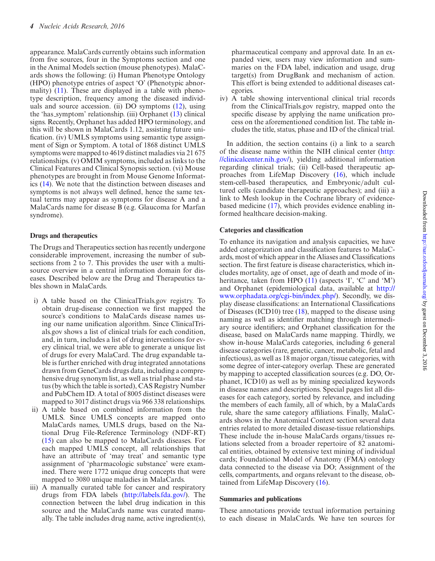appearance. MalaCards currently obtains such information from five sources, four in the Symptoms section and one in the Animal Models section (mouse phenotypes). MalaCards shows the following: (i) Human Phenotype Ontology (HPO) phenotype entries of aspect 'O' (Phenotypic abnormality) [\(11\)](#page-9-0). These are displayed in a table with phenotype description, frequency among the diseased individuals and source accession. (ii) DO symptoms [\(12\)](#page-9-0), using the 'has symptom' relationship. (iii) Orphanet [\(13\)](#page-9-0) clinical signs. Recently, Orphanet has added HPO terminology, and this will be shown in MalaCards 1.12, assisting future unification. (iv) UMLS symptoms using semantic type assignment of Sign or Symptom. A total of 1868 distinct UMLS symptoms were mapped to 4619 distinct maladies via 21 675 relationships. (v) OMIM symptoms, included as links to the Clinical Features and Clinical Synopsis section. (vi) Mouse phenotypes are brought in from Mouse Genome Informatics [\(14\)](#page-9-0). We note that the distinction between diseases and symptoms is not always well defined, hence the same textual terms may appear as symptoms for disease A and a MalaCards name for disease B (e.g. Glaucoma for Marfan syndrome).

## **Drugs and therapeutics**

The Drugs and Therapeutics section has recently undergone considerable improvement, increasing the number of subsections from 2 to 7. This provides the user with a multisource overview in a central information domain for diseases. Described below are the Drug and Therapeutics tables shown in MalaCards.

- i) A table based on the ClinicalTrials.gov registry. To obtain drug-disease connection we first mapped the source's conditions to MalaCards disease names using our name unification algorithm. Since ClinicalTrials.gov shows a list of clinical trials for each condition, and, in turn, includes a list of drug interventions for every clinical trial, we were able to generate a unique list of drugs for every MalaCard. The drug expandable table is further enriched with drug integrated annotations drawn from GeneCards drugs data, including a comprehensive drug synonym list, as well as trial phase and status (by which the table is sorted), CAS Registry Number and PubChem ID. A total of 8005 distinct diseases were mapped to 3017 distinct drugs via 966 338 relationships.
- ii) A table based on combined information from the UMLS. Since UMLS concepts are mapped onto MalaCards names, UMLS drugs, based on the National Drug File-Reference Terminology (NDF-RT) [\(15\)](#page-9-0) can also be mapped to MalaCards diseases. For each mapped UMLS concept, all relationships that have an attribute of 'may treat' and semantic type assignment of 'pharmacologic substance' were examined. There were 1772 unique drug concepts that were mapped to 3080 unique maladies in MalaCards.
- iii) A manually curated table for cancer and respiratory drugs from FDA labels [\(http://labels.fda.gov/\)](http://labels.fda.gov/). The connection between the label drug indication in this source and the MalaCards name was curated manually. The table includes drug name, active ingredient(s),

pharmaceutical company and approval date. In an expanded view, users may view information and summaries on the FDA label, indication and usage, drug target(s) from DrugBank and mechanism of action. This effort is being extended to additional diseases categories.

iv) A table showing interventional clinical trial records from the ClinicalTrials.gov registry, mapped onto the specific disease by applying the name unification process on the aforementioned condition list. The table includes the title, status, phase and ID of the clinical trial.

In addition, the section contains (i) a link to a search [of the disease name within the NIH clinical center \(http:](http://clinicalcenter.nih.gov/) //clinicalcenter.nih.gov/), yielding additional information regarding clinical trials; (ii) Cell-based therapeutic approaches from LifeMap Discovery [\(16\)](#page-9-0), which include stem-cell-based therapeutics, and Embryonic/adult cultured cells (candidate therapeutic approaches); and (iii) a link to Mesh lookup in the Cochrane library of evidencebased medicine [\(17\)](#page-9-0), which provides evidence enabling informed healthcare decision-making.

## **Categories and classification**

To enhance its navigation and analysis capacities, we have added categorization and classification features to MalaCards, most of which appear in the Aliases and Classifications section. The first feature is disease characteristics, which includes mortality, age of onset, age of death and mode of inheritance, taken from HPO  $(11)$  (aspects 'I', 'C' and 'M') and Orphanet (epidemiological data, available at http:// [www.orphadata.org/cgi-bin/index.php/\). Secondly, we dis](http://www.orphadata.org/cgi-bin/index.php/)play disease classifications: an International Classifications of Diseases (ICD10) tree  $(18)$ , mapped to the disease using naming as well as identifier matching through intermediary source identifiers; and Orphanet classification for the disease, based on MalaCards name mapping. Thirdly, we show in-house MalaCards categories, including 6 general disease categories (rare, genetic, cancer, metabolic, fetal and infectious), as well as 18 major organ/tissue categories, with some degree of inter-category overlap. These are generated by mapping to accepted classification sources (e.g. DO, Orphanet, ICD10) as well as by mining specialized keywords in disease names and descriptions. Special pages list all diseases for each category, sorted by relevance, and including the members of each family, all of which, by a MalaCards rule, share the same category affiliations. Finally, MalaCards shows in the Anatomical Context section several data entries related to more detailed disease-tissue relationships. These include the in-house MalaCards organs/tissues relations selected from a broader repertoire of 82 anatomical entities, obtained by extensive text mining of individual cards; Foundational Model of Anatomy (FMA) ontology data connected to the disease via DO; Assignment of the cells, compartments, and organs relevant to the disease, obtained from LifeMap Discovery [\(16\)](#page-9-0).

## **Summaries and publications**

These annotations provide textual information pertaining to each disease in MalaCards. We have ten sources for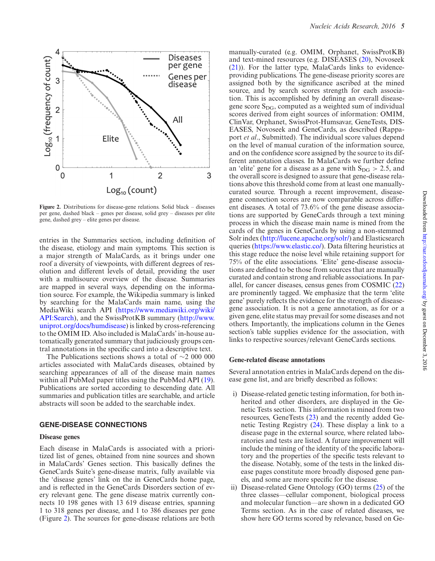

**Figure 2.** Distributions for disease-gene relations. Solid black – diseases per gene, dashed black – genes per disease, solid grey – diseases per elite gene, dashed grey – elite genes per disease.

entries in the Summaries section, including definition of the disease, etiology and main symptoms. This section is a major strength of MalaCards, as it brings under one roof a diversity of viewpoints, with different degrees of resolution and different levels of detail, providing the user with a multisource overview of the disease. Summaries are mapped in several ways, depending on the information source. For example, the Wikipedia summary is linked by searching for the MalaCards main name, using the MediaWiki search API (https://www.mediawiki.org/wiki/ [API:Search\), and the SwissProtKB summary \(http://www.](https://www.mediawiki.org/wiki/API:Search) uniprot.org/docs/humdisease) is linked by cross-referencing to the OMIM ID. Also included is MalaCards' in-house automatically generated summary that judiciously groups central annotations in the specific card into a descriptive text.

The Publications sections shows a total of ∼2 000 000 articles associated with MalaCards diseases, obtained by searching appearances of all of the disease main names within all PubMed paper titles using the PubMed API [\(19\)](#page-9-0). Publications are sorted according to descending date. All summaries and publication titles are searchable, and article abstracts will soon be added to the searchable index.

## **GENE-DISEASE CONNECTIONS**

#### **Disease genes**

Each disease in MalaCards is associated with a prioritized list of genes, obtained from nine sources and shown in MalaCards' Genes section. This basically defines the GeneCards Suite's gene-disease matrix, fully available via the 'disease genes' link on the in GeneCards home page, and is reflected in the GeneCards Disorders section of every relevant gene. The gene disease matrix currently connects 10 198 genes with 13 619 disease entries, spanning 1 to 318 genes per disease, and 1 to 386 diseases per gene (Figure 2). The sources for gene-disease relations are both

manually-curated (e.g. OMIM, Orphanet, SwissProtKB) and text-mined resources (e.g. DISEASES [\(20\)](#page-9-0), Novoseek [\(21\)](#page-9-0)). For the latter type, MalaCards links to evidenceproviding publications. The gene-disease priority scores are assigned both by the significance ascribed at the mined source, and by search scores strength for each association. This is accomplished by defining an overall diseasegene score  $S_{\text{DG}}$ , computed as a weighted sum of individual scores derived from eight sources of information: OMIM, ClinVar, Orphanet, SwissProt-Humsavar, GeneTests, DIS-EASES, Novoseek and GeneCards, as described (Rappaport *et al*., Submitted). The individual score values depend on the level of manual curation of the information source, and on the confidence score assigned by the source to its different annotation classes. In MalaCards we further define an 'elite' gene for a disease as a gene with  $S_{DG} > 2.5$ , and the overall score is designed to assure that gene-disease relations above this threshold come from at least one manuallycurated source. Through a recent improvement, diseasegene connection scores are now comparable across different diseases. A total of 73.6% of the gene disease associations are supported by GeneCards through a text mining process in which the disease main name is mined from the cards of the genes in GeneCards by using a non-stemmed Solr index [\(http://lucene.apache.org/solr/\)](http://lucene.apache.org/solr/) and Elasticsearch queries [\(https://www.elastic.co/\)](https://www.elastic.co/). Data filtering heuristics at this stage reduce the noise level while retaining support for 75% of the elite associations. 'Elite' gene-disease associations are defined to be those from sources that are manually curated and contain strong and reliable associations. In parallel, for cancer diseases, census genes from COSMIC [\(22\)](#page-9-0) are prominently tagged. We emphasize that the term 'elite gene' purely reflects the evidence for the strength of diseasegene association. It is not a gene annotation, as for or a given gene, elite status may prevail for some diseases and not others. Importantly, the implications column in the Genes section's table supplies evidence for the association, with links to respective sources/relevant GeneCards sections.

#### **Gene-related disease annotations**

Several annotation entries in MalaCards depend on the disease gene list, and are briefly described as follows:

- i) Disease-related genetic testing information, for both inherited and other disorders, are displayed in the Genetic Tests section. This information is mined from two resources, GeneTests [\(23\)](#page-9-0) and the recently added Genetic Testing Registry [\(24\)](#page-9-0). These display a link to a disease page in the external source, where related laboratories and tests are listed. A future improvement will include the mining of the identity of the specific laboratory and the properties of the specific tests relevant to the disease. Notably, some of the tests in the linked disease pages constitute more broadly disposed gene panels, and some are more specific for the disease.
- ii) Disease-related Gene Ontology (GO) terms [\(25\)](#page-9-0) of the three classes––cellular component, biological process and molecular function––are shown in a dedicated GO Terms section. As in the case of related diseases, we show here GO terms scored by relevance, based on Ge-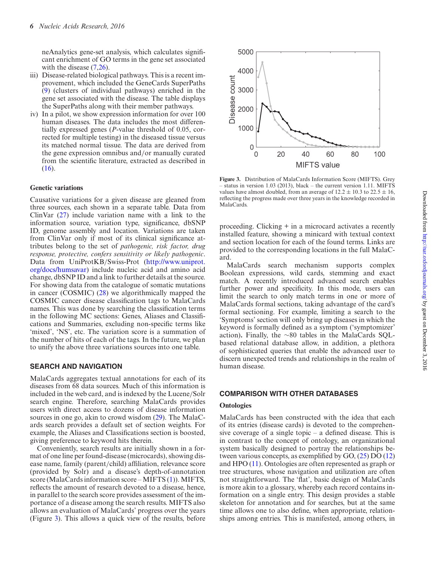neAnalytics gene-set analysis, which calculates significant enrichment of GO terms in the gene set associated with the disease  $(7,26)$ .

- iii) Disease-related biological pathways. This is a recent improvement, which included the GeneCards SuperPaths [\(9\)](#page-9-0) (clusters of individual pathways) enriched in the gene set associated with the disease. The table displays the SuperPaths along with their member pathways.
- iv) In a pilot, we show expression information for over 100 human diseases. The data includes the most differentially expressed genes (*P*-value threshold of 0.05, corrected for multiple testing) in the diseased tissue versus its matched normal tissue. The data are derived from the gene expression omnibus and/or manually curated from the scientific literature, extracted as described in [\(16\)](#page-9-0).

#### **Genetic variations**

Causative variations for a given disease are gleaned from three sources, each shown in a separate table. Data from ClinVar [\(27\)](#page-9-0) include variation name with a link to the information source, variation type, significance, dbSNP ID, genome assembly and location. Variations are taken from ClinVar only if most of its clinical significance attributes belong to the set of *pathogenic, risk factor, drug response, protective, confers sensitivity or likely pathogenic*. Data from UniProtKB/Swiss-Prot (http://www.uniprot. [org/docs/humsavar\) include nucleic acid and amino acid](http://www.uniprot.org/docs/humsavar) change, dbSNP ID and a link to further details at the source. For showing data from the catalogue of somatic mutations in cancer (COSMIC) [\(28\)](#page-9-0) we algorithmically mapped the COSMIC cancer disease classification tags to MalaCards names. This was done by searching the classification terms in the following MC sections: Genes, Aliases and Classifications and Summaries, excluding non-specific terms like 'mixed', 'NS', etc. The variation score is a summation of the number of hits of each of the tags. In the future, we plan to unify the above three variations sources into one table.

## **SEARCH AND NAVIGATION**

MalaCards aggregates textual annotations for each of its diseases from 68 data sources. Much of this information is included in the web card, and is indexed by the Lucene/Solr search engine. Therefore, searching MalaCards provides users with direct access to dozens of disease information sources in one go, akin to crowd wisdom [\(29\)](#page-9-0). The MalaCards search provides a default set of section weights. For example, the Aliases and Classifications section is boosted, giving preference to keyword hits therein.

Conveniently, search results are initially shown in a format of one line per found-disease (microcards), showing disease name, family (parent/child) affiliation, relevance score (provided by Solr) and a disease's depth-of-annotation score (MalaCards information score – MIFTS [\(1\)](#page-9-0)). MIFTS, reflects the amount of research devoted to a disease, hence, in parallel to the search score provides assessment of the importance of a disease among the search results. MIFTS also allows an evaluation of MalaCards' progress over the years (Figure 3). This allows a quick view of the results, before



**Figure 3.** Distribution of MalaCards Information Score (MIFTS). Grey  $-$  status in version 1.03 (2013), black – the current version 1.11. MIFTS values have almost doubled, from an average of  $12.2 \pm 10.3$  to  $22.5 \pm 16$ , reflecting the progress made over three years in the knowledge recorded in MalaCards.

proceeding. Clicking + in a microcard activates a recently installed feature, showing a minicard with textual context and section location for each of the found terms. Links are provided to the corresponding locations in the full MalaCard.

MalaCards search mechanism supports complex Boolean expressions, wild cards, stemming and exact match. A recently introduced advanced search enables further power and specificity. In this mode, users can limit the search to only match terms in one or more of MalaCards formal sections, taking advantage of the card's formal sectioning. For example, limiting a search to the 'Symptoms' section will only bring up diseases in which the keyword is formally defined as a symptom ('symptomizer' action)**.** Finally, the ∼80 tables in the MalaCards SQLbased relational database allow, in addition, a plethora of sophisticated queries that enable the advanced user to discern unexpected trends and relationships in the realm of human disease.

## **COMPARISON WITH OTHER DATABASES**

### **Ontologies**

MalaCards has been constructed with the idea that each of its entries (disease cards) is devoted to the comprehensive coverage of a single topic – a defined disease. This is in contrast to the concept of ontology, an organizational system basically designed to portray the relationships between various concepts, as exemplified by GO, [\(25\)](#page-9-0) DO [\(12\)](#page-9-0) and HPO [\(11\)](#page-9-0). Ontologies are often represented as graph or tree structures, whose navigation and utilization are often not straightforward. The 'flat', basic design of MalaCards is more akin to a glossary, whereby each record contains information on a single entry. This design provides a stable skeleton for annotation and for searches, but at the same time allows one to also define, when appropriate, relationships among entries. This is manifested, among others, in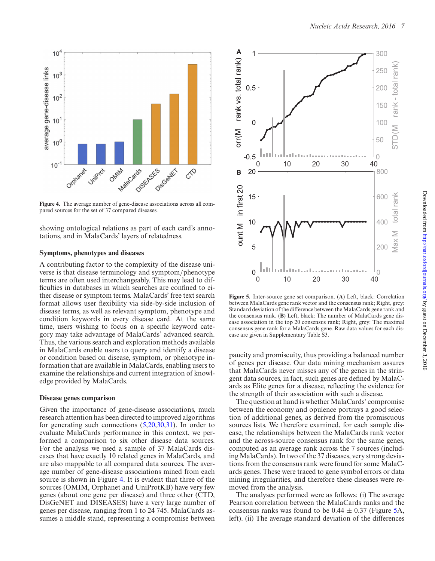<span id="page-6-0"></span>

**Figure 4.** The average number of gene-disease associations across all compared sources for the set of 37 compared diseases.

showing ontological relations as part of each card's annotations, and in MalaCards' layers of relatedness.

## **Symptoms, phenotypes and diseases**

A contributing factor to the complexity of the disease universe is that disease terminology and symptom/phenotype terms are often used interchangeably. This may lead to difficulties in databases in which searches are confined to either disease or symptom terms. MalaCards' free text search format allows user flexibility via side-by-side inclusion of disease terms, as well as relevant symptom, phenotype and condition keywords in every disease card. At the same time, users wishing to focus on a specific keyword category may take advantage of MalaCards' advanced search. Thus, the various search and exploration methods available in MalaCards enable users to query and identify a disease or condition based on disease, symptom, or phenotype information that are available in MalaCards, enabling users to examine the relationships and current integration of knowledge provided by MalaCards.

#### **Disease genes comparison**

Given the importance of gene-disease associations, much research attention has been directed to improved algorithms for generating such connections  $(5,20,30,31)$ . In order to evaluate MalaCards performance in this context, we performed a comparison to six other disease data sources. For the analysis we used a sample of 37 MalaCards diseases that have exactly 10 related genes in MalaCards, and are also mappable to all compared data sources. The average number of gene-disease associations mined from each source is shown in Figure 4. It is evident that three of the sources (OMIM, Orphanet and UniProtKB) have very few genes (about one gene per disease) and three other (CTD, DisGeNET and DISEASES) have a very large number of genes per disease, ranging from 1 to 24 745. MalaCards assumes a middle stand, representing a compromise between



**Figure 5.** Inter-source gene set comparison. (**A**) Left, black: Correlation between MalaCards gene rank vector and the consensus rank; Right, grey: Standard deviation of the difference between the MalaCards gene rank and the consensus rank. (**B**) Left, black: The number of MalaCards gene disease association in the top 20 consensus rank; Right, grey: The maximal consensus gene rank for a MalaCards gene. Raw data values for each disease are given in Supplementary Table S3.

paucity and promiscuity, thus providing a balanced number of genes per disease. Our data mining mechanism assures that MalaCards never misses any of the genes in the stringent data sources, in fact, such genes are defined by MalaCards as Elite genes for a disease, reflecting the evidence for the strength of their association with such a disease.

The question at hand is whether MalaCards' compromise between the economy and opulence portrays a good selection of additional genes, as derived from the promiscuous sources lists. We therefore examined, for each sample disease, the relationships between the MalaCards rank vector and the across-source consensus rank for the same genes, computed as an average rank across the 7 sources (including MalaCards). In two of the 37 diseases, very strong deviations from the consensus rank were found for some MalaCards genes. These were traced to gene symbol errors or data mining irregularities, and therefore these diseases were removed from the analysis.

The analyses performed were as follows: (i) The average Pearson correlation between the MalaCards ranks and the consensus ranks was found to be  $0.44 \pm 0.37$  (Figure 5A, left). (ii) The average standard deviation of the differences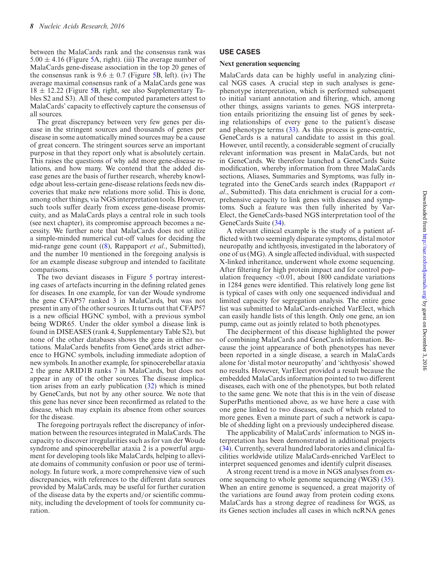between the MalaCards rank and the consensus rank was  $5.00 \pm 4.16$  (Figure [5A](#page-6-0), right). (iii) The average number of MalaCards gene-disease association in the top 20 genes of the consensus rank is  $9.6 \pm 0.7$  (Figure [5B](#page-6-0), left). (iv) The average maximal consensus rank of a MalaCards gene was  $18 \pm 12.22$  (Figure [5B](#page-6-0), right, see also Supplementary Tables S2 and S3). All of these computed parameters attest to MalaCards' capacity to effectively capture the consensus of all sources.

The great discrepancy between very few genes per disease in the stringent sources and thousands of genes per disease in some automatically mined sources may be a cause of great concern. The stringent sources serve an important purpose in that they report only what is absolutely certain. This raises the questions of why add more gene-disease relations, and how many. We contend that the added disease genes are the basis of further research, whereby knowledge about less-certain gene-disease relations feeds new discoveries that make new relations more solid. This is done, among other things, via NGS interpretation tools. However, such tools suffer dearly from excess gene-disease promiscuity, and as MalaCards plays a central role in such tools (see next chapter), its compromise approach becomes a necessity. We further note that MalaCards does not utilize a simple-minded numerical cut-off values for deciding the mid-range gene count ([\(8\)](#page-9-0), Rappaport *et al*., Submitted), and the number 10 mentioned in the foregoing analysis is for an example disease subgroup and intended to facilitate comparisons.

The two deviant diseases in Figure [5](#page-6-0) portray interesting cases of artefacts incurring in the defining related genes for diseases. In one example, for van der Woude syndrome the gene CFAP57 ranked 3 in MalaCards, but was not present in any of the other sources. It turns out that CFAP57 is a new official HGNC symbol, with a previous symbol being WDR65. Under the older symbol a disease link is found in DISEASES (rank 4, Supplementary Table S2), but none of the other databases shows the gene in either notations. MalaCards benefits from GeneCards strict adherence to HGNC symbols, including immediate adoption of new symbols. In another example, for spinocerebellar ataxia 2 the gene ARID1B ranks 7 in MalaCards, but does not appear in any of the other sources. The disease implication arises from an early publication [\(32\)](#page-9-0) which is mined by GeneCards, but not by any other source. We note that this gene has never since been reconfirmed as related to the disease, which may explain its absence from other sources for the disease.

The foregoing portrayals reflect the discrepancy of information between the resources integrated in MalaCards. The capacity to discover irregularities such as for van der Woude syndrome and spinocerebellar ataxia 2 is a powerful argument for developing tools like MalaCards, helping to alleviate domains of community confusion or poor use of terminology. In future work, a more comprehensive view of such discrepancies, with references to the different data sources provided by MalaCards, may be useful for further curation of the disease data by the experts and/or scientific community, including the development of tools for community curation.

## **USE CASES**

#### **Next generation sequencing**

MalaCards data can be highly useful in analyzing clinical NGS cases. A crucial step in such analyses is genephenotype interpretation, which is performed subsequent to initial variant annotation and filtering, which, among other things, assigns variants to genes. NGS interpretation entails prioritizing the ensuing list of genes by seeking relationships of every gene to the patient's disease and phenotype terms [\(33\)](#page-9-0). As this process is gene-centric, GeneCards is a natural candidate to assist in this goal. However, until recently, a considerable segment of crucially relevant information was present in MalaCards, but not in GeneCards. We therefore launched a GeneCards Suite modification, whereby information from three MalaCards sections, Aliases, Summaries and Symptoms, was fully integrated into the GeneCards search index (Rappaport *et al*., Submitted). This data enrichment is crucial for a comprehensive capacity to link genes with diseases and symptoms. Such a feature was then fully inherited by Var-Elect, the GeneCards-based NGS interpretation tool of the GeneCards Suite [\(34\)](#page-9-0).

A relevant clinical example is the study of a patient afflicted with two seemingly disparate symptoms, distal motor neuropathy and ichthyosis, investigated in the laboratory of one of us (MG). A single affected individual, with suspected X-linked inheritance, underwent whole exome sequencing. After filtering for high protein impact and for control population frequency <0.01, about 1800 candidate variations in 1284 genes were identified. This relatively long gene list is typical of cases with only one sequenced individual and limited capacity for segregation analysis. The entire gene list was submitted to MalaCards-enriched VarElect, which can easily handle lists of this length. Only one gene, an ion pump, came out as jointly related to both phenotypes.

The decipherment of this disease highlighted the power of combining MalaCards and GeneCards information. Because the joint appearance of both phenotypes has never been reported in a single disease, a search in MalaCards alone for 'distal motor neuropathy' and 'ichthyosis' showed no results. However, VarElect provided a result because the embedded MalaCards information pointed to two different diseases, each with one of the phenotypes, but both related to the same gene. We note that this is in the vein of disease SuperPaths mentioned above, as we have here a case with one gene linked to two diseases, each of which related to more genes. Even a minute part of such a network is capable of shedding light on a previously undeciphered disease.

The applicability of MalaCards' information to NGS interpretation has been demonstrated in additional projects [\(34\)](#page-9-0). Currently, several hundred laboratories and clinical facilities worldwide utilize MalaCards-enriched VarElect to interpret sequenced genomes and identify culprit diseases.

A strong recent trend is a move in NGS analyses from exome sequencing to whole genome sequencing (WGS) [\(35\)](#page-10-0). When an entire genome is sequenced, a great majority of the variations are found away from protein coding exons. MalaCards has a strong degree of readiness for WGS, as its Genes section includes all cases in which ncRNA genes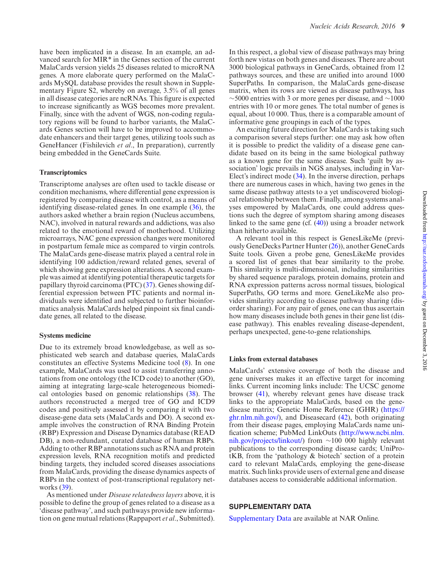have been implicated in a disease. In an example, an advanced search for MIR\* in the Genes section of the current MalaCards version yields 25 diseases related to microRNA genes. A more elaborate query performed on the MalaCards MySQL database provides the result shown in Supplementary Figure S2, whereby on average, 3.5% of all genes in all disease categories are ncRNAs. This figure is expected to increase significantly as WGS becomes more prevalent. Finally, since with the advent of WGS, non-coding regulatory regions will be found to harbor variants, the MalaCards Genes section will have to be improved to accommodate enhancers and their target genes, utilizing tools such as GeneHancer (Fishilevich *et al*., In preparation), currently being embedded in the GeneCards Suite.

#### **Transcriptomics**

Transcriptome analyses are often used to tackle disease or condition mechanisms, where differential gene expression is registered by comparing disease with control, as a means of identifying disease-related genes. In one example [\(36\)](#page-10-0), the authors asked whether a brain region (Nucleus accumbens, NAC), involved in natural rewards and addictions, was also related to the emotional reward of motherhood. Utilizing microarrays, NAC gene expression changes were monitored in postpartum female mice as compared to virgin controls. The MalaCards gene-disease matrix played a central role in identifying 100 addiction/reward related genes, several of which showing gene expression alterations. A second example was aimed at identifying potential therapeutic targets for papillary thyroid carcinoma (PTC) [\(37\)](#page-10-0). Genes showing differential expression between PTC patients and normal individuals were identified and subjected to further bioinformatics analysis. MalaCards helped pinpoint six final candidate genes, all related to the disease.

#### **Systems medicine**

Due to its extremely broad knowledgebase, as well as sophisticated web search and database queries, MalaCards constitutes an effective Systems Medicine tool [\(8\)](#page-9-0). In one example, MalaCards was used to assist transferring annotations from one ontology (the ICD code) to another (GO), aiming at integrating large-scale heterogeneous biomedical ontologies based on genomic relationships [\(38\)](#page-10-0). The authors reconstructed a merged tree of GO and ICD9 codes and positively assessed it by comparing it with two disease-gene data sets (MalaCards and DO). A second example involves the construction of RNA Binding Protein (RBP) Expression and Disease Dynamics database (READ DB), a non-redundant, curated database of human RBPs. Adding to other RBP annotations such as RNA and protein expression levels, RNA recognition motifs and predicted binding targets, they included scored diseases associations from MalaCards, providing the disease dynamics aspects of RBPs in the context of post-transcriptional regulatory networks [\(39\)](#page-10-0).

As mentioned under *Disease relatedness layers* above, it is possible to define the group of genes related to a disease as a 'disease pathway', and such pathways provide new information on gene mutual relations (Rappaport *et al*., Submitted).

In this respect, a global view of disease pathways may bring forth new vistas on both genes and diseases. There are about 3000 biological pathways in GeneCards, obtained from 12 pathways sources, and these are unified into around 1000 SuperPaths. In comparison, the MalaCards gene-disease matrix, when its rows are viewed as disease pathways, has  $\sim$ 5000 entries with 3 or more genes per disease, and  $\sim$ 1000 entries with 10 or more genes. The total number of genes is equal, about 10 000. Thus, there is a comparable amount of informative gene groupings in each of the types.

An exciting future direction for MalaCards is taking such a comparison several steps further: one may ask how often it is possible to predict the validity of a disease gene candidate based on its being in the same biological pathway as a known gene for the same disease. Such 'guilt by association' logic prevails in NGS analyses, including in Var-Elect's indirect mode [\(34\)](#page-9-0). In the inverse direction, perhaps there are numerous cases in which, having two genes in the same disease pathway attests to a yet undiscovered biological relationship between them. Finally, among systems analyses empowered by MalaCards, one could address questions such the degree of symptom sharing among diseases linked to the same gene (cf.  $(40)$ ) using a broader network than hitherto available.

A relevant tool in this respect is GenesLikeMe (previously GeneDecks Partner Hunter [\(26\)](#page-9-0)), another GeneCards Suite tools. Given a probe gene, GenesLikeMe provides a scored list of genes that bear similarity to the probe. This similarity is multi-dimensional, including similarities by shared sequence paralogs, protein domains, protein and RNA expression patterns across normal tissues, biological SuperPaths, GO terms and more. GeneLikeMe also provides similarity according to disease pathway sharing (disorder sharing). For any pair of genes, one can thus ascertain how many diseases include both genes in their gene list (disease pathway). This enables revealing disease-dependent, perhaps unexpected, gene-to-gene relationships.

#### **Links from external databases**

MalaCards' extensive coverage of both the disease and gene universes makes it an effective target for incoming links. Current incoming links include: The UCSC genome browser [\(41\)](#page-10-0), whereby relevant genes have disease track links to the appropriate MalaCards, based on the gene[disease matrix; Genetic Home Reference \(GHR\) \(https://](https://ghr.nlm.nih.gov/) ghr.nlm.nih.gov/), and Diseasecard [\(42\)](#page-10-0), both originating from their disease pages, employing MalaCards name uni[fication scheme; PubMed LinkOuts \(http://www.ncbi.nlm.](http://www.ncbi.nlm.nih.gov/projects/linkout/) nih.gov/projects/linkout/) from ∼100 000 highly relevant publications to the corresponding disease cards; UniProtKB, from the 'pathology & biotech' section of a protein card to relevant MalaCards, employing the gene-disease matrix. Such links provide users of external gene and disease databases access to considerable additional information.

## **SUPPLEMENTARY DATA**

[Supplementary Data](http://nar.oxfordjournals.org/lookup/suppl/doi:10.1093/nar/gkw1012/-/DC1) are available at NAR Online.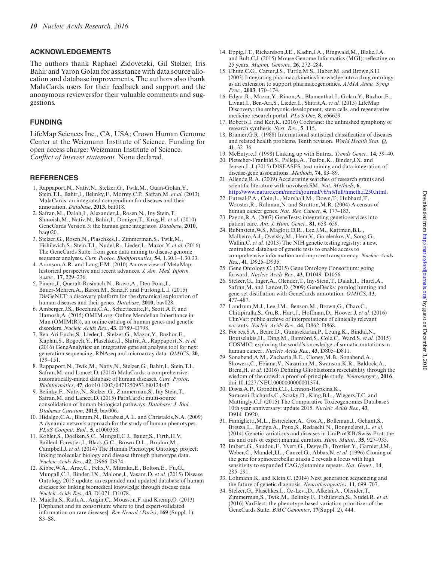# <span id="page-9-0"></span>**ACKNOWLEDGEMENTS**

The authors thank Raphael Zidovetzki, Gil Stelzer, Iris Bahir and Yaron Golan for assistance with data source allocation and database improvements. The authors also thank MalaCards users for their feedback and support and the anonymous reviewersfor their valuable comments and suggestions.

# **FUNDING**

LifeMap Sciences Inc., CA, USA; Crown Human Genome Center at the Weizmann Institute of Science. Funding for open access charge: Weizmann Institute of Science. *Conflict of interest statement.* None declared.

# **REFERENCES**

- 1. Rappaport,N., Nativ,N., Stelzer,G., Twik,M., Guan-Golan,Y., Stein,T.I., Bahir,I., Belinky,F., Morrey,C.P., Safran,M. *et al.* (2013) MalaCards: an integrated compendium for diseases and their annotation. *Database*, **2013**, bat018.
- 2. Safran,M., Dalah,I., Alexander,J., Rosen,N., Iny Stein,T., Shmoish,M., Nativ,N., Bahir,I., Doniger,T., Krug,H. *et al.* (2010) GeneCards Version 3: the human gene integrator. *Database*, **2010**, baq020.
- 3. Stelzer,G., Rosen,N., Plaschkes,I., Zimmerman,S., Twik,M., Fishilevich,S., Stein,T.I., Nudel,R., Lieder,I., Mazor,Y. *et al.* (2016) The GeneCards Suite: from gene data mining to disease genome sequence analyses. *Curr. Protoc. Bioinformatics*, **54**, 1.30.1–1.30.33.
- 4. Aronson,A.R. and Lang,F.M. (2010) An overview of MetaMap: historical perspective and recent advances. *J. Am. Med. Inform. Assoc.*, **17**, 229–236.
- 5. Pinero,J., Queralt-Rosinach,N., Bravo,A., Deu-Pons,J., Bauer-Mehren,A., Baron,M., Sanz,F. and Furlong,L.I. (2015) DisGeNET: a discovery platform for the dynamical exploration of human diseases and their genes. *Database*, **2010**, bav028.
- 6. Amberger,J.S., Bocchini,C.A., Schiettecatte,F., Scott,A.F. and Hamosh,A. (2015) OMIM.org: Online Mendelian Inheritance in Man (OMIM(R)), an online catalog of human genes and genetic disorders. *Nucleic Acids Res.*, **43**, D789–D798.
- 7. Ben-Ari Fuchs,S., Lieder,I., Stelzer,G., Mazor,Y., Buzhor,E., Kaplan,S., Bogoch,Y., Plaschkes,I., Shitrit,A., Rappaport,N. *et al.* (2016) GeneAnalytics: an integrative gene set analysis tool for next generation sequencing, RNAseq and microarray data. *OMICS*, **20**, 139–151.
- 8. Rappaport,N., Twik,M., Nativ,N., Stelzer,G., Bahir,I., Stein,T.I., Safran,M. and Lancet,D. (2014) MalaCards: a comprehensive automatically-mined database of human diseases. *Curr. Protoc. Bioinformatics*, **47**, doi:10.1002/0471250953.bi0124s47.
- 9. Belinky,F., Nativ,N., Stelzer,G., Zimmerman,S., Iny Stein,T., Safran,M. and Lancet,D. (2015) PathCards: multi-source consolidation of human biological pathways. *Database: J. Biol. Dtabases Curation*, **2015**, bav006.
- 10. Hidalgo,C.A., Blumm,N., Barabasi,A.L. and Christakis,N.A. (2009) A dynamic network approach for the study of human phenotypes. *PLoS Comput. Biol.*, **5**, e1000353.
- 11. Kohler,S., Doelken,S.C., Mungall,C.J., Bauer,S., Firth,H.V., Bailleul-Forestier,I., Black,G.C., Brown,D.L., Brudno,M., Campbell,J. *et al.* (2014) The Human Phenotype Ontology project: linking molecular biology and disease through phenotype data. *Nucleic Acids Res.*, **42**, D966–D974.
- 12. Kibbe,W.A., Arze,C., Felix,V., Mitraka,E., Bolton,E., Fu,G., Mungall,C.J., Binder,J.X., Malone,J., Vasant,D. *et al.* (2015) Disease Ontology 2015 update: an expanded and updated database of human diseases for linking biomedical knowledge through disease data. *Nucleic Acids Res.*, **43**, D1071–D1078.
- 13. Maiella,S., Rath,A., Angin,C., Mousson,F. and Kremp,O. (2013) [Orphanet and its consortium: where to find expert-validated information on rare diseases]. *Rev Neurol (Paris)*, **169** (Suppl. 1), S3–S8.
- 14. Eppig,J.T., Richardson,J.E., Kadin,J.A., Ringwald,M., Blake,J.A. and Bult,C.J. (2015) Mouse Genome Informatics (MGI): reflecting on 25 years. *Mamm. Genome*, **26**, 272–284.
- 15. Chute,C.G., Carter,J.S., Tuttle,M.S., Haber,M. and Brown,S.H. (2003) Integrating pharmacokinetics knowledge into a drug ontology: as an extension to support pharmacogenomics. *AMIA Annu. Symp. Proc.*, **2003**, 170–174.
- 16. Edgar,R., Mazor,Y., Rinon,A., Blumenthal,J., Golan,Y., Buzhor,E., Livnat,I., Ben-Ari,S., Lieder,I., Shitrit,A. *et al.* (2013) LifeMap Discovery: the embryonic development, stem cells, and regenerative medicine research portal. *PLoS One*, **8**, e66629.
- 17. Roberts,I. and Ker,K. (2016) Cochrane: the unfinished symphony of research synthesis. *Syst. Rev.*, **5**, 115.
- 18. Bramer,G.R. (1988) International statistical classification of diseases and related health problems. Tenth revision. *World Health Stat. Q*, **41**, 32–36.
- 19. McEntyre,J. (1998) Linking up with Entrez. *Trends Genet.*, **14**, 39–40.
- 20. Pletscher-Frankild,S., Palleja,A., Tsafou,K., Binder,J.X. and Jensen,L.J. (2015) DISEASES: text mining and data integration of disease-gene associations. *Methods*, **74**, 83–89.
- 21. Allende,R.A. (2009) Accelerating searches of research grants and scientific literature with novo|seekSM. *Nat. Methods*, **6**, [http://www.nature.com/nmeth/journal/v6/n5/full/nmeth.f.250.html.](http://www.nature.com/nmeth/journal/v6/n5/full/nmeth.f.250.html)
- 22. Futreal,P.A., Coin,L., Marshall,M., Down,T., Hubbard,T., Wooster,R., Rahman,N. and Stratton,M.R. (2004) A census of human cancer genes. *Nat. Rev. Cancer*, **4**, 177–183.
- 23. Pagon,R.A. (2007) GeneTests: integrating genetic services into patient care. *Am. J. Hum. Genet.*, **81**, 658–659.
- 24. Rubinstein,W.S., Maglott,D.R., Lee,J.M., Kattman,B.L., Malheiro,A.J., Ovetsky,M., Hem,V., Gorelenkov,V., Song,G., Wallin, C. *et al.* (2013) The NIH genetic testing registry: a new, centralized database of genetic tests to enable access to comprehensive information and improve transparency. *Nucleic Acids Res.*, **41**, D925–D935.
- 25. Gene Ontology,C. (2015) Gene Ontology Consortium: going forward. *Nucleic Acids Res.*, **43**, D1049–D1056.
- 26. Stelzer,G., Inger,A., Olender,T., Iny-Stein,T., Dalah,I., Harel,A., Safran,M. and Lancet,D. (2009) GeneDecks: paralog hunting and gene-set distillation with GeneCards annotation. *OMICS*, **13**, 477–487.
- 27. Landrum,M.J., Lee,J.M., Benson,M., Brown,G., Chao,C., Chitipiralla,S., Gu,B., Hart,J., Hoffman,D., Hoover,J. *et al.* (2016) ClinVar: public archive of interpretations of clinically relevant variants. *Nucleic Acids Res.*, **44**, D862–D868.
- 28. Forbes,S.A., Beare,D., Gunasekaran,P., Leung,K., Bindal,N., Boutselakis,H., Ding,M., Bamford,S., Cole,C., Ward,S. *et al.* (2015) COSMIC: exploring the world's knowledge of somatic mutations in human cancer. *Nucleic Acids Res.*, **43**, D805–D811.
- 29. Sonabend,A.M., Zacharia,B.E., Cloney,M.B., Sonabend,A., Showers,C., Ebiana,V., Nazarian,M., Swanson,K.R., Baldock,A., Brem,H. *et al.* (2016) Defining Glioblastoma resectability through the wisdom of the crowd: a proof-of-principle study. *Neurosurgery*, **2016**, doi:10.1227/NEU.0000000000001374.
- 30. Davis,A.P., Grondin,C.J., Lennon-Hopkins,K., Saraceni-Richards,C., Sciaky,D., King,B.L., Wiegers,T.C. and Mattingly,C.J. (2015) The Comparative Toxicogenomics Database's 10th year anniversary: update 2015. *Nucleic Acids Res.*, **43**, D914–D920.
- 31. Famiglietti,M.L., Estreicher,A., Gos,A., Bolleman,J., Gehant,S., Breuza,L., Bridge,A., Poux,S., Redaschi,N., Bougueleret,L. *et al.* (2014) Genetic variations and diseases in UniProtKB/Swiss-Prot: the ins and outs of expert manual curation. *Hum. Mutat.*, **35**, 927–935.
- 32. Imbert,G., Saudou,F., Yvert,G., Devys,D., Trottier,Y., Garnier,J.M., Weber,C., Mandel,J.L., Cancel,G., Abbas,N. *et al.* (1996) Cloning of the gene for spinocerebellar ataxia 2 reveals a locus with high sensitivity to expanded CAG/glutamine repeats. *Nat. Genet.*, **14**, 285–291.
- 33. Lohmann,K. and Klein,C. (2014) Next generation sequencing and the future of genetic diagnosis. *Neurotherapeutics*, **11**, 699–707.
- 34. Stelzer,G., Plaschkes,I., Oz-Levi,D., Alkelai,A., Olender,T., Zimmerman,S., Twik,M., Belinky,F., Fishilevich,S., Nudel,R. *et al.* (2016) VarElect: the phenotype-based variation prioritizer of the GeneCards Suite. *BMC Genomics*, **17**(Suppl. 2), 444.